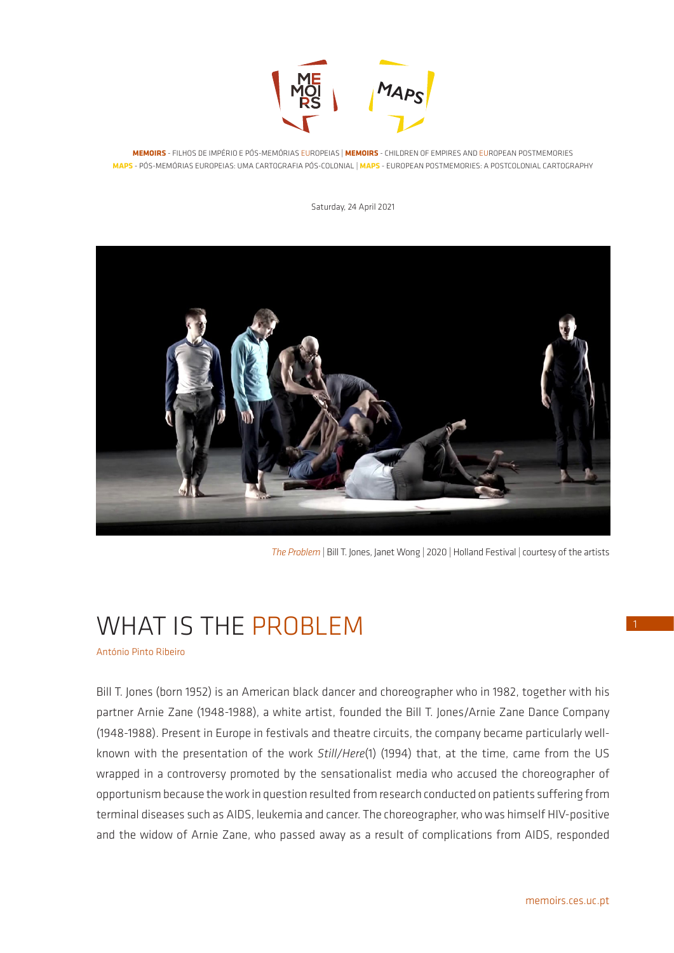

**MEMOIRS** - FILHOS DE IMPÉRIO E PÓS-MEMÓRIAS EUROPEIAS | **MEMOIRS** - CHILDREN OF EMPIRES AND EUROPEAN POSTMEMORIES **MAPS** - PÓS-MEMÓRIAS EUROPEIAS: UMA CARTOGRAFIA PÓS-COLONIAL | **MAPS** - EUROPEAN POSTMEMORIES: A POSTCOLONIAL CARTOGRAPHY

Saturday, 24 April 2021



*The Problem* | Bill T. Jones, Janet Wong | 2020 | Holland Festival | courtesy of the artists

# WHAT IS THE PROBLEM

António Pinto Ribeiro

Bill T. Jones (born 1952) is an American black dancer and choreographer who in 1982, together with his partner Arnie Zane (1948-1988), a white artist, founded the Bill T. Jones/Arnie Zane Dance Company (1948-1988). Present in Europe in festivals and theatre circuits, the company became particularly wellknown with the presentation of the work *Still/Here*(1) (1994) that, at the time, came from the US wrapped in a controversy promoted by the sensationalist media who accused the choreographer of opportunism because the work in question resulted from research conducted on patients suffering from terminal diseases such as AIDS, leukemia and cancer. The choreographer, who was himself HIV-positive and the widow of Arnie Zane, who passed away as a result of complications from AIDS, responded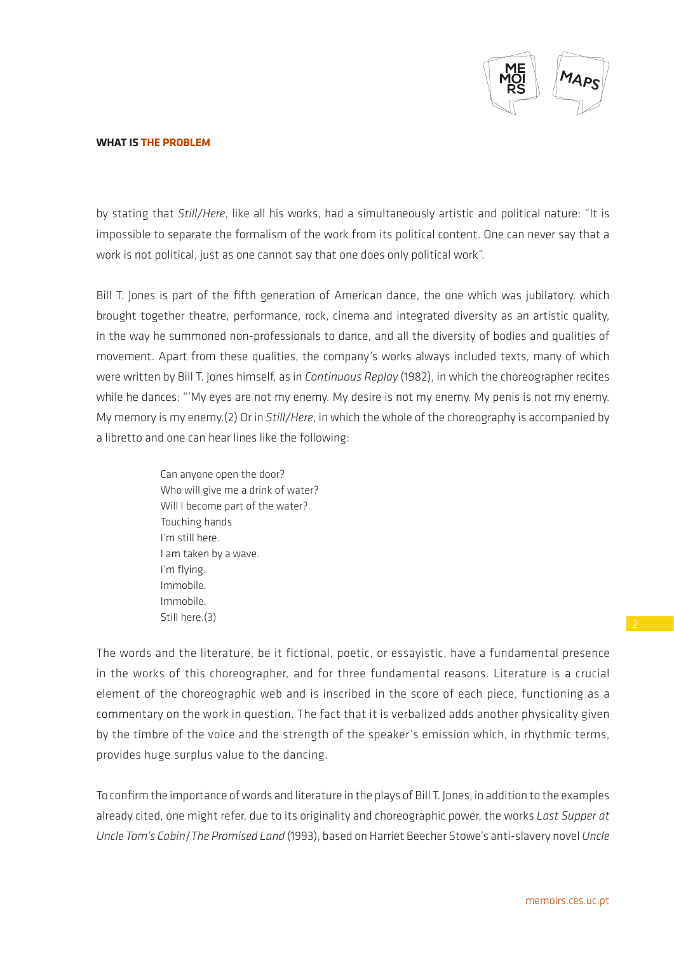

by stating that *Still/Here*, like all his works, had a simultaneously artistic and political nature: "It is impossible to separate the formalism of the work from its political content. One can never say that a work is not political, just as one cannot say that one does only political work".

Bill T. Jones is part of the fifth generation of American dance, the one which was jubilatory, which brought together theatre, performance, rock, cinema and integrated diversity as an artistic quality, in the way he summoned non-professionals to dance, and all the diversity of bodies and qualities of movement. Apart from these qualities, the company's works always included texts, many of which were written by Bill T. Jones himself, as in *Continuous Replay* (1982), in which the choreographer recites while he dances: "'My eyes are not my enemy. My desire is not my enemy. My penis is not my enemy. My memory is my enemy.(2) Or in *Still/Here*, in which the whole of the choreography is accompanied by a libretto and one can hear lines like the following:

> Can anyone open the door? Who will give me a drink of water? Will I become part of the water? Touching hands I'm still here. I am taken by a wave. I'm flying. Immobile. Immobile. Still here.(3)

The words and the literature, be it fictional, poetic, or essayistic, have a fundamental presence in the works of this choreographer, and for three fundamental reasons. Literature is a crucial element of the choreographic web and is inscribed in the score of each piece, functioning as a commentary on the work in question. The fact that it is verbalized adds another physicality given by the timbre of the voice and the strength of the speaker's emission which, in rhythmic terms, provides huge surplus value to the dancing.

To confirm the importance of words and literature in the plays of Bill T. Jones, in addition to the examples already cited, one might refer, due to its originality and choreographic power, the works *Last Supper at Uncle Tom's Cabin*/*The Promised Land* (1993), based on Harriet Beecher Stowe's anti-slavery novel *Uncle*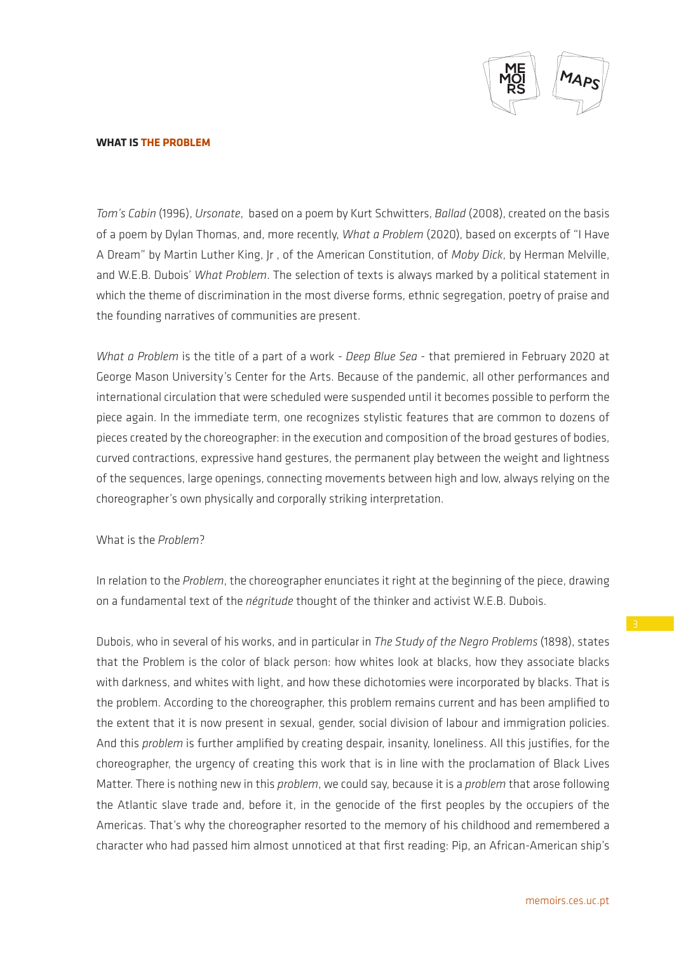

*Tom's Cabin* (1996), *Ursonate*, based on a poem by Kurt Schwitters, *Ballad* (2008), created on the basis of a poem by Dylan Thomas, and, more recently, *What a Problem* (2020), based on excerpts of "I Have A Dream" by Martin Luther King, Jr , of the American Constitution, of *Moby Dick*, by Herman Melville, and W.E.B. Dubois' *What Problem*. The selection of texts is always marked by a political statement in which the theme of discrimination in the most diverse forms, ethnic segregation, poetry of praise and the founding narratives of communities are present.

*What a Problem* is the title of a part of a work - *Deep Blue Sea* - that premiered in February 2020 at George Mason University's Center for the Arts. Because of the pandemic, all other performances and international circulation that were scheduled were suspended until it becomes possible to perform the piece again. In the immediate term, one recognizes stylistic features that are common to dozens of pieces created by the choreographer: in the execution and composition of the broad gestures of bodies, curved contractions, expressive hand gestures, the permanent play between the weight and lightness of the sequences, large openings, connecting movements between high and low, always relying on the choreographer's own physically and corporally striking interpretation.

## What is the *Problem*?

In relation to the *Problem*, the choreographer enunciates it right at the beginning of the piece, drawing on a fundamental text of the *négritude* thought of the thinker and activist W.E.B. Dubois.

Dubois, who in several of his works, and in particular in *The Study of the Negro Problems* (1898), states that the Problem is the color of black person: how whites look at blacks, how they associate blacks with darkness, and whites with light, and how these dichotomies were incorporated by blacks. That is the problem. According to the choreographer, this problem remains current and has been amplified to the extent that it is now present in sexual, gender, social division of labour and immigration policies. And this *problem* is further amplified by creating despair, insanity, loneliness. All this justifies, for the choreographer, the urgency of creating this work that is in line with the proclamation of Black Lives Matter. There is nothing new in this *problem*, we could say, because it is a *problem* that arose following the Atlantic slave trade and, before it, in the genocide of the first peoples by the occupiers of the Americas. That's why the choreographer resorted to the memory of his childhood and remembered a character who had passed him almost unnoticed at that first reading: Pip, an African-American ship's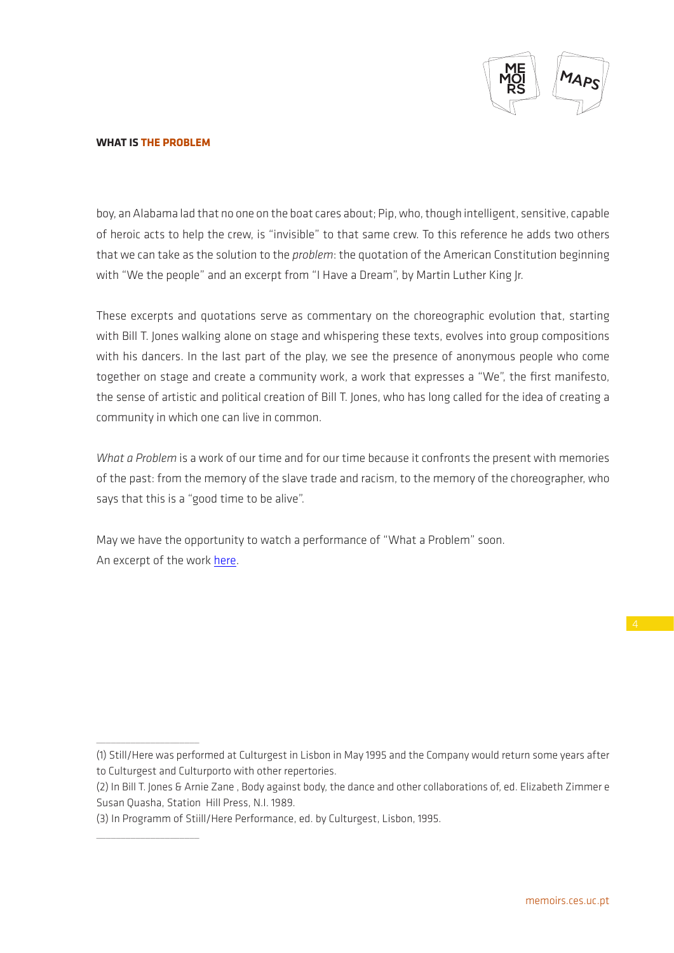

\_\_\_\_\_\_\_\_\_\_\_\_\_\_\_\_\_\_\_\_\_

 $\_$ 

boy, an Alabama lad that no one on the boat cares about; Pip, who, though intelligent, sensitive, capable of heroic acts to help the crew, is "invisible" to that same crew. To this reference he adds two others that we can take as the solution to the *problem*: the quotation of the American Constitution beginning with "We the people" and an excerpt from "I Have a Dream", by Martin Luther King Jr.

These excerpts and quotations serve as commentary on the choreographic evolution that, starting with Bill T. Jones walking alone on stage and whispering these texts, evolves into group compositions with his dancers. In the last part of the play, we see the presence of anonymous people who come together on stage and create a community work, a work that expresses a "We", the first manifesto, the sense of artistic and political creation of Bill T. Jones, who has long called for the idea of creating a community in which one can live in common.

*What a Problem* is a work of our time and for our time because it confronts the present with memories of the past: from the memory of the slave trade and racism, to the memory of the choreographer, who says that this is a "good time to be alive".

May we have the opportunity to watch a performance of "What a Problem" soon. An excerpt of the work here.

<sup>(1)</sup> Still/Here was performed at Culturgest in Lisbon in May 1995 and the Company would return some years after to Culturgest and Culturporto with other repertories.

<sup>(2)</sup> In Bill T. Jones & Arnie Zane , Body against body, the dance and other collaborations of, ed. Elizabeth Zimmer e Susan Quasha, Station Hill Press, N.I. 1989.

<sup>(3)</sup> In Programm of Stiill/Here Performance, ed. by Culturgest, Lisbon, 1995.